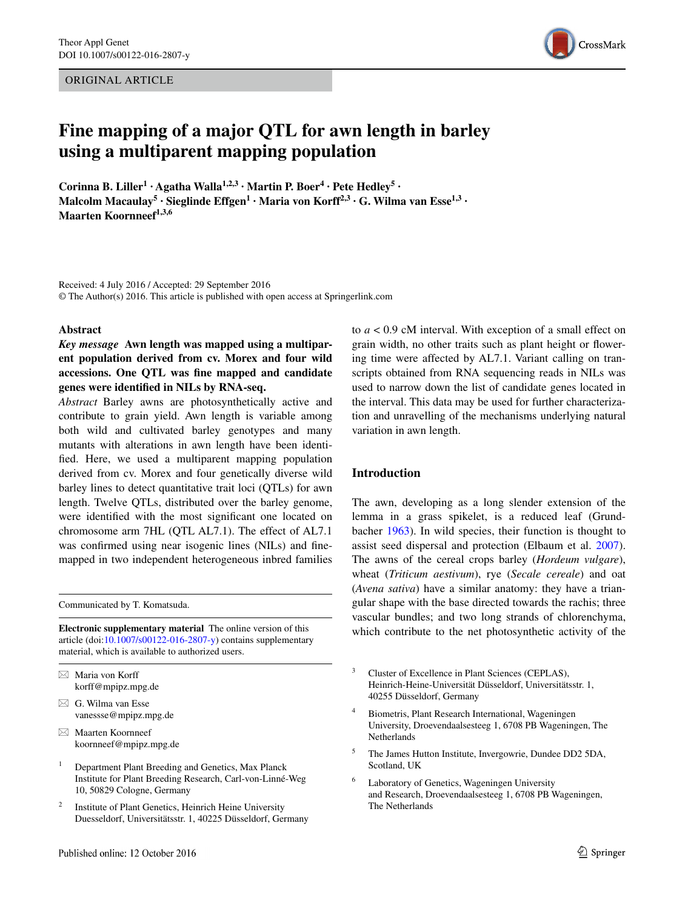ORIGINAL ARTICLE



# **Fine mapping of a major QTL for awn length in barley using a multiparent mapping population**

**Corinna B.** Liller<sup>1</sup> **· Agatha Walla<sup>1,2,3</sup> · Martin P.** Boer<sup>4</sup> · Pete Hedley<sup>5</sup> · **Malcolm Macaulay<sup>5</sup> · Sieglinde Effgen1 · Maria von Korff2,3 · G. Wilma van Esse1,3 · Maarten Koornneef1,3,6**

Received: 4 July 2016 / Accepted: 29 September 2016 © The Author(s) 2016. This article is published with open access at Springerlink.com

#### **Abstract**

*Key message* **Awn length was mapped using a multiparent population derived from cv. Morex and four wild accessions. One QTL was fine mapped and candidate genes were identified in NILs by RNA-seq.**

*Abstract* Barley awns are photosynthetically active and contribute to grain yield. Awn length is variable among both wild and cultivated barley genotypes and many mutants with alterations in awn length have been identified. Here, we used a multiparent mapping population derived from cv. Morex and four genetically diverse wild barley lines to detect quantitative trait loci (QTLs) for awn length. Twelve QTLs, distributed over the barley genome, were identified with the most significant one located on chromosome arm 7HL (QTL AL7.1). The effect of AL7.1 was confirmed using near isogenic lines (NILs) and finemapped in two independent heterogeneous inbred families

Communicated by T. Komatsuda.

**Electronic supplementary material** The online version of this article (doi[:10.1007/s00122-016-2807-y](http://dx.doi.org/10.1007/s00122-016-2807-y)) contains supplementary material, which is available to authorized users.

- $\boxtimes$  Maria von Korff korff@mpipz.mpg.de
- $\boxtimes$  G. Wilma van Esse vanessse@mpipz.mpg.de
- $\boxtimes$  Maarten Koornneef koornneef@mpipz.mpg.de
- <sup>1</sup> Department Plant Breeding and Genetics, Max Planck Institute for Plant Breeding Research, Carl-von-Linné-Weg 10, 50829 Cologne, Germany
- <sup>2</sup> Institute of Plant Genetics, Heinrich Heine University Duesseldorf, Universitätsstr. 1, 40225 Düsseldorf, Germany

to *a* < 0.9 cM interval. With exception of a small effect on grain width, no other traits such as plant height or flowering time were affected by AL7.1. Variant calling on transcripts obtained from RNA sequencing reads in NILs was used to narrow down the list of candidate genes located in the interval. This data may be used for further characterization and unravelling of the mechanisms underlying natural variation in awn length.

# **Introduction**

The awn, developing as a long slender extension of the lemma in a grass spikelet, is a reduced leaf (Grundbacher [1963](#page-12-0)). In wild species, their function is thought to assist seed dispersal and protection (Elbaum et al. [2007](#page-11-0)). The awns of the cereal crops barley (*Hordeum vulgare*), wheat (*Triticum aestivum*), rye (*Secale cereale*) and oat (*Avena sativa*) have a similar anatomy: they have a triangular shape with the base directed towards the rachis; three vascular bundles; and two long strands of chlorenchyma, which contribute to the net photosynthetic activity of the

- Cluster of Excellence in Plant Sciences (CEPLAS), Heinrich-Heine-Universität Düsseldorf, Universitätsstr. 1, 40255 Düsseldorf, Germany
- <sup>4</sup> Biometris, Plant Research International, Wageningen University, Droevendaalsesteeg 1, 6708 PB Wageningen, The **Netherlands**
- <sup>5</sup> The James Hutton Institute, Invergowrie, Dundee DD2 5DA, Scotland, UK
- <sup>6</sup> Laboratory of Genetics, Wageningen University and Research, Droevendaalsesteeg 1, 6708 PB Wageningen, The Netherlands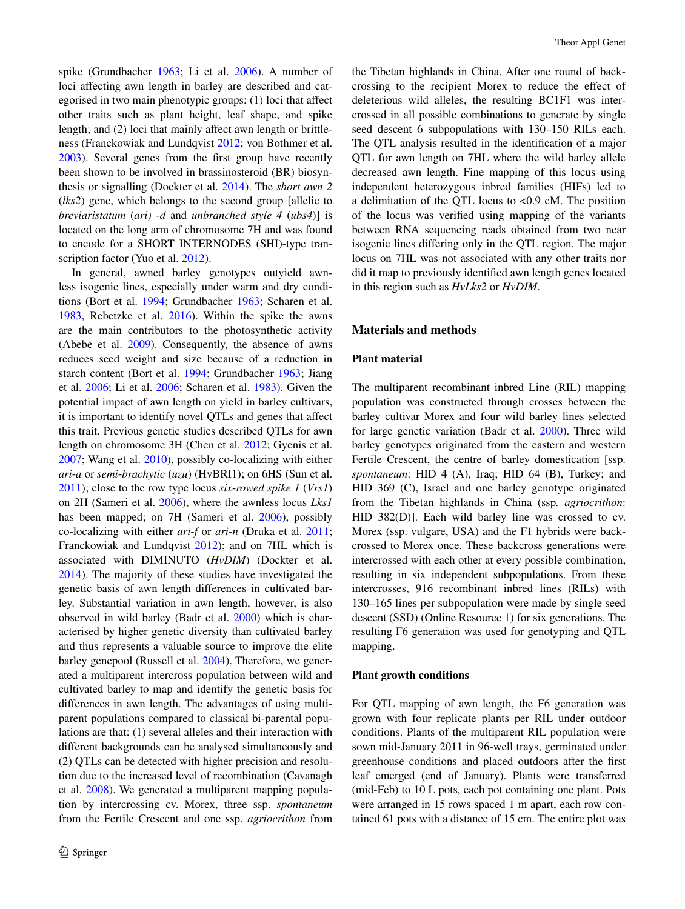spike (Grundbacher [1963;](#page-12-0) Li et al. [2006\)](#page-12-1). A number of loci affecting awn length in barley are described and categorised in two main phenotypic groups: (1) loci that affect other traits such as plant height, leaf shape, and spike length; and (2) loci that mainly affect awn length or brittleness (Franckowiak and Lundqvist [2012](#page-11-1); von Bothmer et al. [2003](#page-12-2)). Several genes from the first group have recently been shown to be involved in brassinosteroid (BR) biosynthesis or signalling (Dockter et al. [2014](#page-11-2)). The *short awn 2* (*lks2*) gene, which belongs to the second group [allelic to *breviaristatum* (*ari)* -*d* and *unbranched style 4* (*ubs4*)] is located on the long arm of chromosome 7H and was found to encode for a SHORT INTERNODES (SHI)-type tran-scription factor (Yuo et al. [2012](#page-12-3)).

In general, awned barley genotypes outyield awnless isogenic lines, especially under warm and dry conditions (Bort et al. [1994;](#page-11-3) Grundbacher [1963;](#page-12-0) Scharen et al. [1983](#page-12-4), Rebetzke et al. [2016\)](#page-12-5). Within the spike the awns are the main contributors to the photosynthetic activity (Abebe et al. [2009](#page-11-4)). Consequently, the absence of awns reduces seed weight and size because of a reduction in starch content (Bort et al. [1994;](#page-11-3) Grundbacher [1963;](#page-12-0) Jiang et al. [2006](#page-12-6); Li et al. [2006;](#page-12-1) Scharen et al. [1983\)](#page-12-4). Given the potential impact of awn length on yield in barley cultivars, it is important to identify novel QTLs and genes that affect this trait. Previous genetic studies described QTLs for awn length on chromosome 3H (Chen et al. [2012](#page-11-5); Gyenis et al. [2007](#page-12-7); Wang et al. [2010](#page-12-8)), possibly co-localizing with either *ari*-*a* or *semi*-*brachytic* (*uzu*) (HvBRI1); on 6HS (Sun et al. [2011](#page-12-9)); close to the row type locus *six*-*rowed spike 1* (*Vrs1*) on 2H (Sameri et al. [2006](#page-12-10)), where the awnless locus *Lks1* has been mapped; on 7H (Sameri et al. [2006](#page-12-10)), possibly co-localizing with either *ari*-*f* or *ari*-*n* (Druka et al. [2011](#page-11-6); Franckowiak and Lundqvist [2012\)](#page-11-1); and on 7HL which is associated with DIMINUTO (*HvDIM*) (Dockter et al. [2014](#page-11-2)). The majority of these studies have investigated the genetic basis of awn length differences in cultivated barley. Substantial variation in awn length, however, is also observed in wild barley (Badr et al. [2000](#page-11-7)) which is characterised by higher genetic diversity than cultivated barley and thus represents a valuable source to improve the elite barley genepool (Russell et al. [2004](#page-12-11)). Therefore, we generated a multiparent intercross population between wild and cultivated barley to map and identify the genetic basis for differences in awn length. The advantages of using multiparent populations compared to classical bi-parental populations are that: (1) several alleles and their interaction with different backgrounds can be analysed simultaneously and (2) QTLs can be detected with higher precision and resolution due to the increased level of recombination (Cavanagh et al. [2008\)](#page-11-8). We generated a multiparent mapping population by intercrossing cv. Morex, three ssp. *spontaneum* from the Fertile Crescent and one ssp. *agriocrithon* from the Tibetan highlands in China. After one round of backcrossing to the recipient Morex to reduce the effect of deleterious wild alleles, the resulting BC1F1 was intercrossed in all possible combinations to generate by single seed descent 6 subpopulations with 130–150 RILs each. The QTL analysis resulted in the identification of a major QTL for awn length on 7HL where the wild barley allele decreased awn length. Fine mapping of this locus using independent heterozygous inbred families (HIFs) led to a delimitation of the QTL locus to <0.9 cM. The position of the locus was verified using mapping of the variants between RNA sequencing reads obtained from two near isogenic lines differing only in the QTL region. The major locus on 7HL was not associated with any other traits nor did it map to previously identified awn length genes located in this region such as *HvLks2* or *HvDIM*.

# **Materials and methods**

# **Plant material**

The multiparent recombinant inbred Line (RIL) mapping population was constructed through crosses between the barley cultivar Morex and four wild barley lines selected for large genetic variation (Badr et al. [2000\)](#page-11-7). Three wild barley genotypes originated from the eastern and western Fertile Crescent, the centre of barley domestication [ssp. *spontaneum*: HID 4 (A), Iraq; HID 64 (B), Turkey; and HID 369 (C), Israel and one barley genotype originated from the Tibetan highlands in China (ssp*. agriocrithon*: HID 382(D)]. Each wild barley line was crossed to cv. Morex (ssp. vulgare, USA) and the F1 hybrids were backcrossed to Morex once. These backcross generations were intercrossed with each other at every possible combination, resulting in six independent subpopulations. From these intercrosses, 916 recombinant inbred lines (RILs) with 130–165 lines per subpopulation were made by single seed descent (SSD) (Online Resource 1) for six generations. The resulting F6 generation was used for genotyping and QTL mapping.

# **Plant growth conditions**

For QTL mapping of awn length, the F6 generation was grown with four replicate plants per RIL under outdoor conditions. Plants of the multiparent RIL population were sown mid-January 2011 in 96-well trays, germinated under greenhouse conditions and placed outdoors after the first leaf emerged (end of January). Plants were transferred (mid-Feb) to 10 L pots, each pot containing one plant. Pots were arranged in 15 rows spaced 1 m apart, each row contained 61 pots with a distance of 15 cm. The entire plot was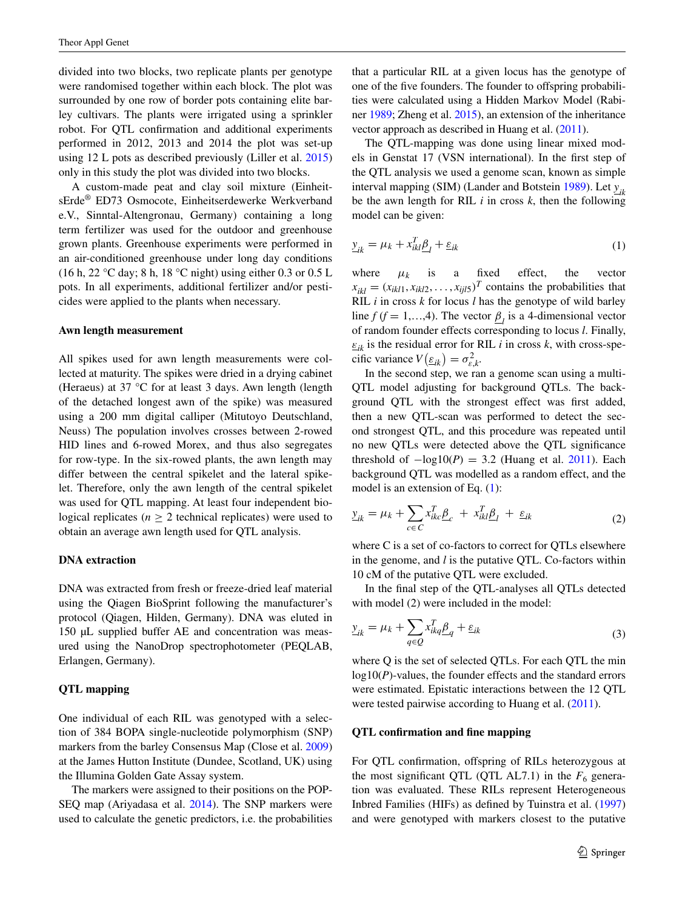divided into two blocks, two replicate plants per genotype were randomised together within each block. The plot was surrounded by one row of border pots containing elite barley cultivars. The plants were irrigated using a sprinkler robot. For QTL confirmation and additional experiments performed in 2012, 2013 and 2014 the plot was set-up using 12 L pots as described previously (Liller et al. [2015\)](#page-12-12) only in this study the plot was divided into two blocks.

A custom-made peat and clay soil mixture (EinheitsErde® ED73 Osmocote, Einheitserdewerke Werkverband e.V., Sinntal-Altengronau, Germany) containing a long term fertilizer was used for the outdoor and greenhouse grown plants. Greenhouse experiments were performed in an air-conditioned greenhouse under long day conditions (16 h, 22 °C day; 8 h, 18 °C night) using either 0.3 or 0.5 L pots. In all experiments, additional fertilizer and/or pesticides were applied to the plants when necessary.

## **Awn length measurement**

All spikes used for awn length measurements were collected at maturity. The spikes were dried in a drying cabinet (Heraeus) at 37 °C for at least 3 days. Awn length (length of the detached longest awn of the spike) was measured using a 200 mm digital calliper (Mitutoyo Deutschland, Neuss) The population involves crosses between 2-rowed HID lines and 6-rowed Morex, and thus also segregates for row-type. In the six-rowed plants, the awn length may differ between the central spikelet and the lateral spikelet. Therefore, only the awn length of the central spikelet was used for QTL mapping. At least four independent biological replicates ( $n \geq 2$  technical replicates) were used to obtain an average awn length used for QTL analysis.

#### **DNA extraction**

DNA was extracted from fresh or freeze-dried leaf material using the Qiagen BioSprint following the manufacturer's protocol (Qiagen, Hilden, Germany). DNA was eluted in 150 µL supplied buffer AE and concentration was measured using the NanoDrop spectrophotometer (PEQLAB, Erlangen, Germany).

# **QTL mapping**

One individual of each RIL was genotyped with a selection of 384 BOPA single-nucleotide polymorphism (SNP) markers from the barley Consensus Map (Close et al. [2009\)](#page-11-9) at the James Hutton Institute (Dundee, Scotland, UK) using the Illumina Golden Gate Assay system.

The markers were assigned to their positions on the POP-SEQ map (Ariyadasa et al. [2014\)](#page-11-10). The SNP markers were used to calculate the genetic predictors, i.e. the probabilities

that a particular RIL at a given locus has the genotype of one of the five founders. The founder to offspring probabilities were calculated using a Hidden Markov Model (Rabiner [1989;](#page-12-13) Zheng et al. [2015](#page-12-14)), an extension of the inheritance vector approach as described in Huang et al. ([2011](#page-12-15)).

The QTL-mapping was done using linear mixed models in Genstat 17 (VSN international). In the first step of the QTL analysis we used a genome scan, known as simple interval mapping (SIM) (Lander and Botstein [1989\)](#page-12-16). Let *yik* be the awn length for RIL  $i$  in cross  $k$ , then the following model can be given:

<span id="page-2-0"></span>
$$
\underline{y}_{ik} = \mu_k + x_{ikl}^T \underline{\beta}_l + \underline{\varepsilon}_{ik} \tag{1}
$$

where  $\mu_k$  is a fixed effect, the vector  $x_{ikl} = (x_{ikl1}, x_{ikl2}, \dots, x_{ijl5})^T$  contains the probabilities that RIL *i* in cross *k* for locus *l* has the genotype of wild barley line *f* (*f* = 1,...,4). The vector  $\underline{\beta}_l$  is a 4-dimensional vector of random founder effects corresponding to locus *l*. Finally,  $\varepsilon_{ik}$  is the residual error for RIL *i* in cross *k*, with cross-specific variance  $V(\underline{\varepsilon}_{ik}) = \sigma_{\varepsilon,k}^2$ .

In the second step, we ran a genome scan using a multi-QTL model adjusting for background QTLs. The background QTL with the strongest effect was first added, then a new QTL-scan was performed to detect the second strongest QTL, and this procedure was repeated until no new QTLs were detected above the QTL significance threshold of  $-\log 10(P) = 3.2$  (Huang et al. [2011](#page-12-15)). Each background QTL was modelled as a random effect, and the model is an extension of Eq. ([1\)](#page-2-0):

$$
\underline{y}_{ik} = \mu_k + \sum_{c \in C} x_{ikc}^T \underline{\beta}_c + x_{ikl}^T \underline{\beta}_l + \underline{\varepsilon}_{ik}
$$
\n(2)

where C is a set of co-factors to correct for QTLs elsewhere in the genome, and *l* is the putative QTL. Co-factors within 10 cM of the putative QTL were excluded.

In the final step of the QTL-analyses all QTLs detected with model (2) were included in the model:

$$
\underline{y}_{ik} = \mu_k + \sum_{q \in \mathcal{Q}} x_{ikq}^T \underline{\beta}_q + \underline{\varepsilon}_{ik} \tag{3}
$$

where Q is the set of selected QTLs. For each QTL the min log10(*P*)-values, the founder effects and the standard errors were estimated. Epistatic interactions between the 12 QTL were tested pairwise according to Huang et al.  $(2011)$  $(2011)$ .

# **QTL confirmation and fine mapping**

For QTL confirmation, offspring of RILs heterozygous at the most significant QTL (QTL AL7.1) in the  $F_6$  generation was evaluated. These RILs represent Heterogeneous Inbred Families (HIFs) as defined by Tuinstra et al. ([1997\)](#page-12-17) and were genotyped with markers closest to the putative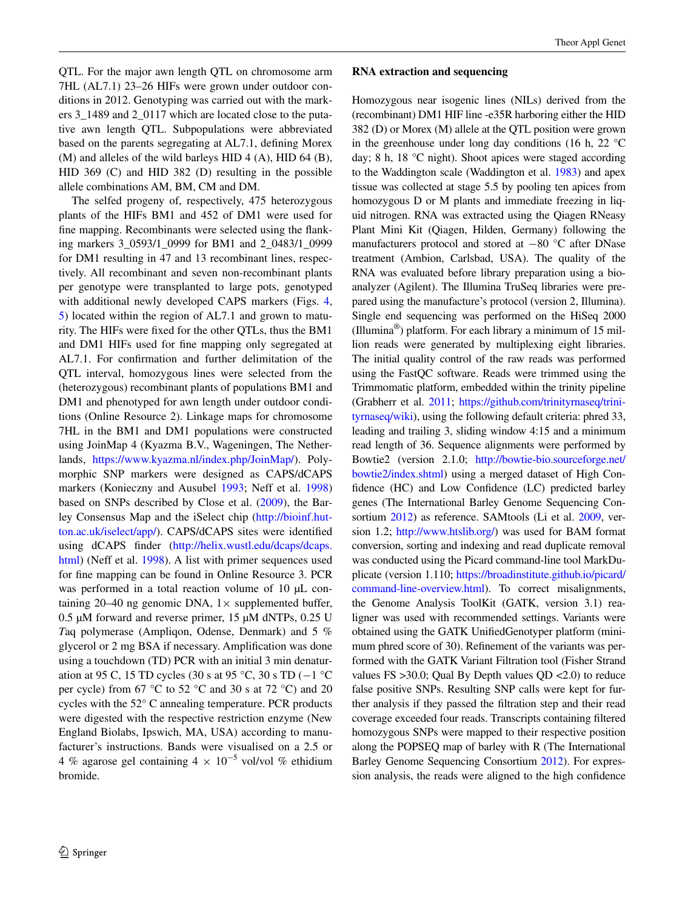QTL. For the major awn length QTL on chromosome arm 7HL (AL7.1) 23–26 HIFs were grown under outdoor conditions in 2012. Genotyping was carried out with the markers 3\_1489 and 2\_0117 which are located close to the putative awn length QTL. Subpopulations were abbreviated based on the parents segregating at AL7.1, defining Morex  $(M)$  and alleles of the wild barleys HID 4  $(A)$ , HID 64  $(B)$ , HID 369 (C) and HID 382 (D) resulting in the possible allele combinations AM, BM, CM and DM.

The selfed progeny of, respectively, 475 heterozygous plants of the HIFs BM1 and 452 of DM1 were used for fine mapping. Recombinants were selected using the flanking markers 3\_0593/1\_0999 for BM1 and 2\_0483/1\_0999 for DM1 resulting in 47 and 13 recombinant lines, respectively. All recombinant and seven non-recombinant plants per genotype were transplanted to large pots, genotyped with additional newly developed CAPS markers (Figs. [4,](#page-7-0) [5](#page-8-0)) located within the region of AL7.1 and grown to maturity. The HIFs were fixed for the other QTLs, thus the BM1 and DM1 HIFs used for fine mapping only segregated at AL7.1. For confirmation and further delimitation of the QTL interval, homozygous lines were selected from the (heterozygous) recombinant plants of populations BM1 and DM1 and phenotyped for awn length under outdoor conditions (Online Resource 2). Linkage maps for chromosome 7HL in the BM1 and DM1 populations were constructed using JoinMap 4 (Kyazma B.V., Wageningen, The Netherlands, [https://www.kyazma.nl/index.php/JoinMap/\)](https://www.kyazma.nl/index.php/JoinMap/). Polymorphic SNP markers were designed as CAPS/dCAPS markers (Konieczny and Ausubel [1993](#page-12-18); Neff et al. [1998\)](#page-12-19) based on SNPs described by Close et al. [\(2009](#page-11-9)), the Barley Consensus Map and the iSelect chip ([http://bioinf.hut](http://bioinf.hutton.ac.uk/iselect/app/)[ton.ac.uk/iselect/app/](http://bioinf.hutton.ac.uk/iselect/app/)). CAPS/dCAPS sites were identified using dCAPS finder ([http://helix.wustl.edu/dcaps/dcaps.](http://helix.wustl.edu/dcaps/dcaps.html) [html](http://helix.wustl.edu/dcaps/dcaps.html)) (Neff et al. [1998](#page-12-19)). A list with primer sequences used for fine mapping can be found in Online Resource 3. PCR was performed in a total reaction volume of 10 µL containing 20–40 ng genomic DNA,  $1 \times$  supplemented buffer, 0.5 µM forward and reverse primer, 15 µM dNTPs, 0.25 U *T*aq polymerase (Ampliqon, Odense, Denmark) and 5 % glycerol or 2 mg BSA if necessary. Amplification was done using a touchdown (TD) PCR with an initial 3 min denaturation at 95 C, 15 TD cycles (30 s at 95 °C, 30 s TD ( $-1$  °C per cycle) from 67 °C to 52 °C and 30 s at 72 °C) and 20 cycles with the 52° C annealing temperature. PCR products were digested with the respective restriction enzyme (New England Biolabs, Ipswich, MA, USA) according to manufacturer's instructions. Bands were visualised on a 2.5 or 4 % agarose gel containing  $4 \times 10^{-5}$  vol/vol % ethidium bromide.

#### **RNA extraction and sequencing**

Homozygous near isogenic lines (NILs) derived from the (recombinant) DM1 HIF line -e35R harboring either the HID 382 (D) or Morex (M) allele at the QTL position were grown in the greenhouse under long day conditions (16 h, 22  $^{\circ}$ C day; 8 h, 18 °C night). Shoot apices were staged according to the Waddington scale (Waddington et al. [1983\)](#page-12-20) and apex tissue was collected at stage 5.5 by pooling ten apices from homozygous D or M plants and immediate freezing in liquid nitrogen. RNA was extracted using the Qiagen RNeasy Plant Mini Kit (Qiagen, Hilden, Germany) following the manufacturers protocol and stored at −80 °C after DNase treatment (Ambion, Carlsbad, USA). The quality of the RNA was evaluated before library preparation using a bioanalyzer (Agilent). The Illumina TruSeq libraries were prepared using the manufacture's protocol (version 2, Illumina). Single end sequencing was performed on the HiSeq 2000 (Illumina®) platform. For each library a minimum of 15 million reads were generated by multiplexing eight libraries. The initial quality control of the raw reads was performed using the FastQC software. Reads were trimmed using the Trimmomatic platform, embedded within the trinity pipeline (Grabherr et al. [2011;](#page-11-11) [https://github.com/trinityrnaseq/trini](https://github.com/trinityrnaseq/trinityrnaseq/wiki)[tyrnaseq/wiki](https://github.com/trinityrnaseq/trinityrnaseq/wiki)), using the following default criteria: phred 33, leading and trailing 3, sliding window 4:15 and a minimum read length of 36. Sequence alignments were performed by Bowtie2 (version 2.1.0; [http://bowtie-bio.sourceforge.net/](http://bowtie-bio.sourceforge.net/bowtie2/index.shtml) [bowtie2/index.shtml\)](http://bowtie-bio.sourceforge.net/bowtie2/index.shtml) using a merged dataset of High Confidence (HC) and Low Confidence (LC) predicted barley genes (The International Barley Genome Sequencing Consortium [2012](#page-12-21)) as reference. SAMtools (Li et al. [2009,](#page-12-22) version 1.2; <http://www.htslib.org/>) was used for BAM format conversion, sorting and indexing and read duplicate removal was conducted using the Picard command-line tool MarkDuplicate (version 1.110; [https://broadinstitute.github.io/picard/](https://broadinstitute.github.io/picard/command-line-overview.html) [command-line-overview.html](https://broadinstitute.github.io/picard/command-line-overview.html)). To correct misalignments, the Genome Analysis ToolKit (GATK, version 3.1) realigner was used with recommended settings. Variants were obtained using the GATK UnifiedGenotyper platform (minimum phred score of 30). Refinement of the variants was performed with the GATK Variant Filtration tool (Fisher Strand values FS >30.0; Qual By Depth values QD <2.0) to reduce false positive SNPs. Resulting SNP calls were kept for further analysis if they passed the filtration step and their read coverage exceeded four reads. Transcripts containing filtered homozygous SNPs were mapped to their respective position along the POPSEQ map of barley with R (The International Barley Genome Sequencing Consortium [2012\)](#page-12-21). For expression analysis, the reads were aligned to the high confidence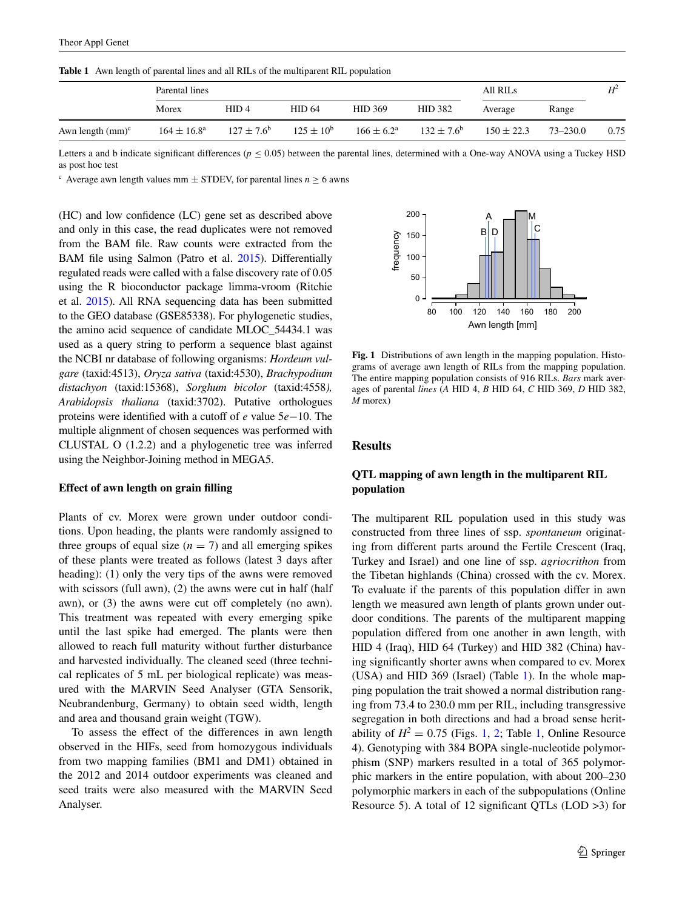<span id="page-4-0"></span>**Table 1** Awn length of parental lines and all RILs of the multiparent RIL population

|                     | Parental lines         |                       |                   |                       |                       | All RILs       |              | $H^2$ |
|---------------------|------------------------|-----------------------|-------------------|-----------------------|-----------------------|----------------|--------------|-------|
|                     | Morex                  | HID4                  | HID <sub>64</sub> | <b>HID 369</b>        | <b>HID 382</b>        | Average        | Range        |       |
| Awn length $(mm)^c$ | $164 \pm 16.8^{\circ}$ | $127 \pm 7.6^{\circ}$ | $125 \pm 10^{6}$  | $166 \pm 6.2^{\circ}$ | $132 \pm 7.6^{\circ}$ | $150 \pm 22.3$ | $73 - 230.0$ | 0.75  |

Letters a and b indicate significant differences ( $p \le 0.05$ ) between the parental lines, determined with a One-way ANOVA using a Tuckey HSD as post hoc test

<sup>c</sup> Average awn length values mm  $\pm$  STDEV, for parental lines  $n \ge 6$  awns

(HC) and low confidence (LC) gene set as described above and only in this case, the read duplicates were not removed from the BAM file. Raw counts were extracted from the BAM file using Salmon (Patro et al. [2015](#page-12-23)). Differentially regulated reads were called with a false discovery rate of 0.05 using the R bioconductor package limma-vroom (Ritchie et al. [2015\)](#page-12-24). All RNA sequencing data has been submitted to the GEO database (GSE85338). For phylogenetic studies, the amino acid sequence of candidate MLOC\_54434.1 was used as a query string to perform a sequence blast against the NCBI nr database of following organisms: *Hordeum vulgare* (taxid:4513), *Oryza sativa* (taxid:4530), *Brachypodium distachyon* (taxid:15368), *Sorghum bicolor* (taxid:4558*), Arabidopsis thaliana* (taxid:3702). Putative orthologues proteins were identified with a cutoff of *e* value 5*e*−10. The multiple alignment of chosen sequences was performed with CLUSTAL O (1.2.2) and a phylogenetic tree was inferred using the Neighbor-Joining method in MEGA5.

## **Effect of awn length on grain filling**

Plants of cv. Morex were grown under outdoor conditions. Upon heading, the plants were randomly assigned to three groups of equal size  $(n = 7)$  and all emerging spikes of these plants were treated as follows (latest 3 days after heading): (1) only the very tips of the awns were removed with scissors (full awn), (2) the awns were cut in half (half awn), or (3) the awns were cut off completely (no awn). This treatment was repeated with every emerging spike until the last spike had emerged. The plants were then allowed to reach full maturity without further disturbance and harvested individually. The cleaned seed (three technical replicates of 5 mL per biological replicate) was measured with the MARVIN Seed Analyser (GTA Sensorik, Neubrandenburg, Germany) to obtain seed width, length and area and thousand grain weight (TGW).

To assess the effect of the differences in awn length observed in the HIFs, seed from homozygous individuals from two mapping families (BM1 and DM1) obtained in the 2012 and 2014 outdoor experiments was cleaned and seed traits were also measured with the MARVIN Seed Analyser.



<span id="page-4-1"></span>**Fig. 1** Distributions of awn length in the mapping population. Histograms of average awn length of RILs from the mapping population. The entire mapping population consists of 916 RILs. *Bars* mark averages of parental *lines* (*A* HID 4, *B* HID 64, *C* HID 369, *D* HID 382, *M* morex)

#### **Results**

# **QTL mapping of awn length in the multiparent RIL population**

The multiparent RIL population used in this study was constructed from three lines of ssp. *spontaneum* originating from different parts around the Fertile Crescent (Iraq, Turkey and Israel) and one line of ssp. *agriocrithon* from the Tibetan highlands (China) crossed with the cv. Morex. To evaluate if the parents of this population differ in awn length we measured awn length of plants grown under outdoor conditions. The parents of the multiparent mapping population differed from one another in awn length, with HID 4 (Iraq), HID 64 (Turkey) and HID 382 (China) having significantly shorter awns when compared to cv. Morex (USA) and HID 369 (Israel) (Table [1](#page-4-0)). In the whole mapping population the trait showed a normal distribution ranging from 73.4 to 230.0 mm per RIL, including transgressive segregation in both directions and had a broad sense heritability of  $H^2 = 0.75$  (Figs. [1,](#page-4-0) [2;](#page-5-0) Table 1, Online Resource 4). Genotyping with 384 BOPA single-nucleotide polymorphism (SNP) markers resulted in a total of 365 polymorphic markers in the entire population, with about 200–230 polymorphic markers in each of the subpopulations (Online Resource 5). A total of 12 significant QTLs (LOD >3) for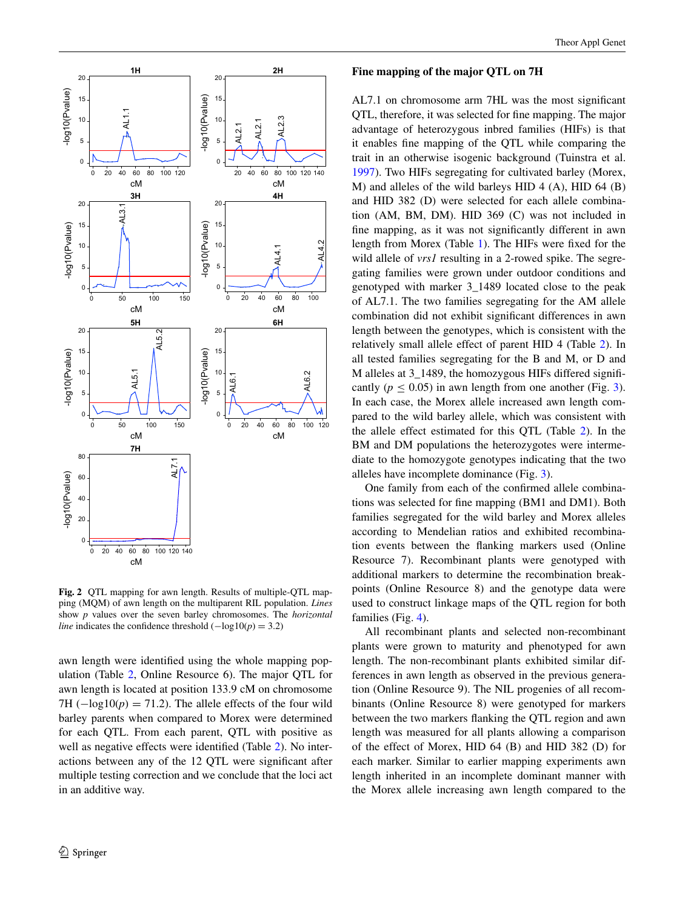

<span id="page-5-0"></span>**Fig. 2** QTL mapping for awn length. Results of multiple-QTL mapping (MQM) of awn length on the multiparent RIL population. *Lines* show *p* values over the seven barley chromosomes. The *horizontal line* indicates the confidence threshold  $(-log10(p) = 3.2)$ 

awn length were identified using the whole mapping population (Table [2](#page-6-0), Online Resource 6). The major QTL for awn length is located at position 133.9 cM on chromosome 7H ( $-\log 10(p) = 71.2$ ). The allele effects of the four wild barley parents when compared to Morex were determined for each QTL. From each parent, QTL with positive as well as negative effects were identified (Table [2\)](#page-6-0). No interactions between any of the 12 QTL were significant after multiple testing correction and we conclude that the loci act in an additive way.

### **Fine mapping of the major QTL on 7H**

AL7.1 on chromosome arm 7HL was the most significant QTL, therefore, it was selected for fine mapping. The major advantage of heterozygous inbred families (HIFs) is that it enables fine mapping of the QTL while comparing the trait in an otherwise isogenic background (Tuinstra et al. [1997](#page-12-17)). Two HIFs segregating for cultivated barley (Morex, M) and alleles of the wild barleys HID 4 (A), HID 64 (B) and HID 382 (D) were selected for each allele combination (AM, BM, DM). HID 369 (C) was not included in fine mapping, as it was not significantly different in awn length from Morex (Table [1](#page-4-0)). The HIFs were fixed for the wild allele of *vrs1* resulting in a 2-rowed spike. The segregating families were grown under outdoor conditions and genotyped with marker 3\_1489 located close to the peak of AL7.1. The two families segregating for the AM allele combination did not exhibit significant differences in awn length between the genotypes, which is consistent with the relatively small allele effect of parent HID 4 (Table [2\)](#page-6-0). In all tested families segregating for the B and M, or D and M alleles at 3\_1489, the homozygous HIFs differed significantly ( $p \leq 0.05$ ) in awn length from one another (Fig. [3](#page-6-1)). In each case, the Morex allele increased awn length compared to the wild barley allele, which was consistent with the allele effect estimated for this QTL (Table [2\)](#page-6-0). In the BM and DM populations the heterozygotes were intermediate to the homozygote genotypes indicating that the two alleles have incomplete dominance (Fig. [3](#page-6-1)).

One family from each of the confirmed allele combinations was selected for fine mapping (BM1 and DM1). Both families segregated for the wild barley and Morex alleles according to Mendelian ratios and exhibited recombination events between the flanking markers used (Online Resource 7). Recombinant plants were genotyped with additional markers to determine the recombination breakpoints (Online Resource 8) and the genotype data were used to construct linkage maps of the QTL region for both families (Fig. [4](#page-7-0)).

All recombinant plants and selected non-recombinant plants were grown to maturity and phenotyped for awn length. The non-recombinant plants exhibited similar differences in awn length as observed in the previous generation (Online Resource 9). The NIL progenies of all recombinants (Online Resource 8) were genotyped for markers between the two markers flanking the QTL region and awn length was measured for all plants allowing a comparison of the effect of Morex, HID 64 (B) and HID 382 (D) for each marker. Similar to earlier mapping experiments awn length inherited in an incomplete dominant manner with the Morex allele increasing awn length compared to the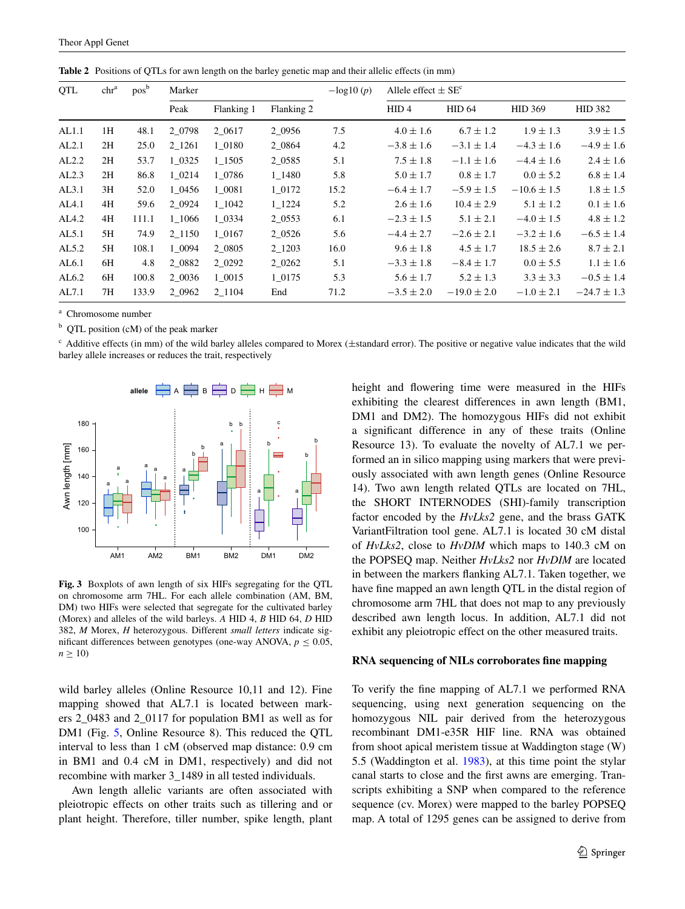| QTL   | chr <sup>a</sup> | pos <sup>b</sup> | Marker    |            |            | $-\log 10(p)$ | Allele effect $\pm$ SE <sup>c</sup> |                 |                 |                 |
|-------|------------------|------------------|-----------|------------|------------|---------------|-------------------------------------|-----------------|-----------------|-----------------|
|       |                  |                  | Peak      | Flanking 1 | Flanking 2 |               | HID <sub>4</sub>                    | <b>HID 64</b>   | <b>HID 369</b>  | <b>HID 382</b>  |
| AL1.1 | 1H               | 48.1             | 2 0 7 9 8 | 2 0617     | 2_0956     | 7.5           | $4.0 \pm 1.6$                       | $6.7 \pm 1.2$   | $1.9 \pm 1.3$   | $3.9 \pm 1.5$   |
| AL2.1 | 2H               | 25.0             | 2 1261    | 1 0180     | 2 0 8 6 4  | 4.2           | $-3.8 \pm 1.6$                      | $-3.1 \pm 1.4$  | $-4.3 \pm 1.6$  | $-4.9 \pm 1.6$  |
| AL2.2 | 2H               | 53.7             | 1 0 3 2 5 | 1 1505     | 2 0 5 8 5  | 5.1           | $7.5 \pm 1.8$                       | $-1.1 \pm 1.6$  | $-4.4 \pm 1.6$  | $2.4 \pm 1.6$   |
| AL2.3 | 2H               | 86.8             | 1 0214    | 1 0 7 8 6  | 1 1480     | 5.8           | $5.0 \pm 1.7$                       | $0.8 \pm 1.7$   | $0.0 \pm 5.2$   | $6.8 \pm 1.4$   |
| AL3.1 | 3H               | 52.0             | 1 0456    | 1 0081     | 1 0172     | 15.2          | $-6.4 \pm 1.7$                      | $-5.9 \pm 1.5$  | $-10.6 \pm 1.5$ | $1.8 \pm 1.5$   |
| AL4.1 | 4H               | 59.6             | 2 0 9 2 4 | 1 1042     | 1 1224     | 5.2           | $2.6 \pm 1.6$                       | $10.4 \pm 2.9$  | $5.1 \pm 1.2$   | $0.1 \pm 1.6$   |
| AL4.2 | 4H               | 111.1            | 1 1066    | 1 0 3 3 4  | 2 0 5 5 3  | 6.1           | $-2.3 \pm 1.5$                      | $5.1 \pm 2.1$   | $-4.0 \pm 1.5$  | $4.8 \pm 1.2$   |
| AL5.1 | 5H               | 74.9             | 2 1150    | 1 0167     | 2 0 5 2 6  | 5.6           | $-4.4 \pm 2.7$                      | $-2.6 \pm 2.1$  | $-3.2 \pm 1.6$  | $-6.5 \pm 1.4$  |
| AL5.2 | 5H               | 108.1            | 1 0094    | 2 0805     | 2 1203     | 16.0          | $9.6 \pm 1.8$                       | $4.5 \pm 1.7$   | $18.5 \pm 2.6$  | $8.7 \pm 2.1$   |
| AL6.1 | 6H               | 4.8              | 2 0882    | 2 0 2 9 2  | 2_0262     | 5.1           | $-3.3 \pm 1.8$                      | $-8.4 \pm 1.7$  | $0.0 \pm 5.5$   | $1.1 \pm 1.6$   |
| AL6.2 | 6H               | 100.8            | 2 0036    | 1 0015     | 1 0175     | 5.3           | $5.6 \pm 1.7$                       | $5.2 \pm 1.3$   | $3.3 \pm 3.3$   | $-0.5 \pm 1.4$  |
| AL7.1 | 7H               | 133.9            | 2 0962    | 2 1104     | End        | 71.2          | $-3.5 \pm 2.0$                      | $-19.0 \pm 2.0$ | $-1.0 \pm 2.1$  | $-24.7 \pm 1.3$ |

<span id="page-6-0"></span>**Table 2** Positions of QTLs for awn length on the barley genetic map and their allelic effects (in mm)

<sup>a</sup> Chromosome number

<sup>b</sup> QTL position (cM) of the peak marker

 $c$  Additive effects (in mm) of the wild barley alleles compared to Morex ( $\pm$ standard error). The positive or negative value indicates that the wild barley allele increases or reduces the trait, respectively



<span id="page-6-1"></span>**Fig. 3** Boxplots of awn length of six HIFs segregating for the QTL on chromosome arm 7HL. For each allele combination (AM, BM, DM) two HIFs were selected that segregate for the cultivated barley (Morex) and alleles of the wild barleys. *A* HID 4, *B* HID 64, *D* HID 382, *M* Morex, *H* heterozygous. Different *small letters* indicate significant differences between genotypes (one-way ANOVA,  $p \leq 0.05$ ,  $n \geq 10$ 

wild barley alleles (Online Resource 10,11 and 12). Fine mapping showed that AL7.1 is located between markers 2\_0483 and 2\_0117 for population BM1 as well as for DM1 (Fig. [5,](#page-8-0) Online Resource 8). This reduced the QTL interval to less than 1 cM (observed map distance: 0.9 cm in BM1 and 0.4 cM in DM1, respectively) and did not recombine with marker 3\_1489 in all tested individuals.

Awn length allelic variants are often associated with pleiotropic effects on other traits such as tillering and or plant height. Therefore, tiller number, spike length, plant height and flowering time were measured in the HIFs exhibiting the clearest differences in awn length (BM1, DM1 and DM2). The homozygous HIFs did not exhibit a significant difference in any of these traits (Online Resource 13). To evaluate the novelty of AL7.1 we performed an in silico mapping using markers that were previously associated with awn length genes (Online Resource 14). Two awn length related QTLs are located on 7HL, the SHORT INTERNODES (SHI)-family transcription factor encoded by the *HvLks2* gene, and the brass GATK VariantFiltration tool gene. AL7.1 is located 30 cM distal of *HvLks2*, close to *HvDIM* which maps to 140.3 cM on the POPSEQ map. Neither *HvLks2* nor *HvDIM* are located in between the markers flanking AL7.1. Taken together, we have fine mapped an awn length QTL in the distal region of chromosome arm 7HL that does not map to any previously described awn length locus. In addition, AL7.1 did not exhibit any pleiotropic effect on the other measured traits.

#### **RNA sequencing of NILs corroborates fine mapping**

To verify the fine mapping of AL7.1 we performed RNA sequencing, using next generation sequencing on the homozygous NIL pair derived from the heterozygous recombinant DM1-e35R HIF line. RNA was obtained from shoot apical meristem tissue at Waddington stage (W) 5.5 (Waddington et al. [1983](#page-12-20)), at this time point the stylar canal starts to close and the first awns are emerging. Transcripts exhibiting a SNP when compared to the reference sequence (cv. Morex) were mapped to the barley POPSEQ map. A total of 1295 genes can be assigned to derive from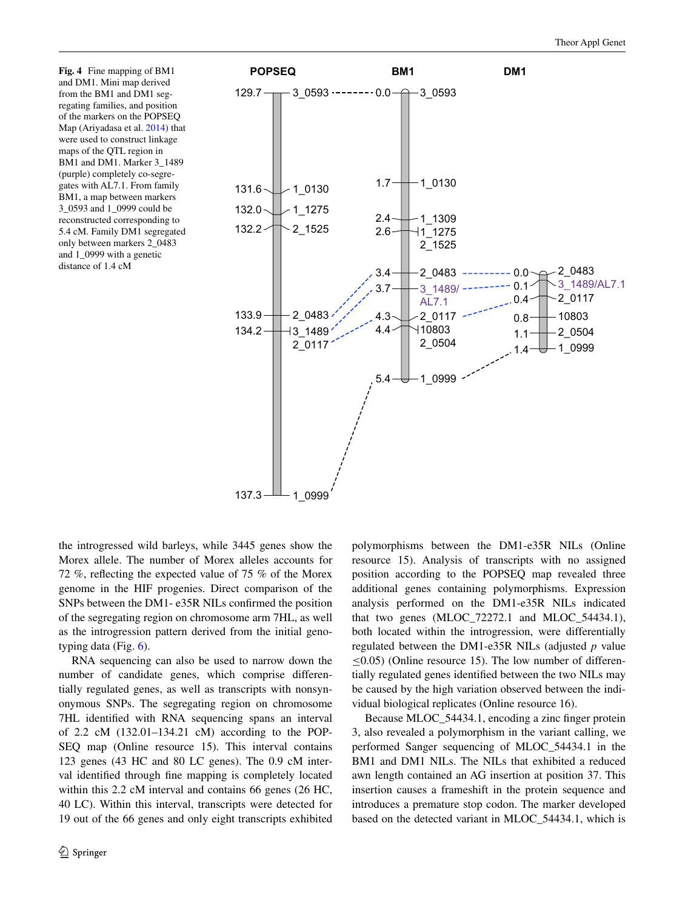<span id="page-7-0"></span>**Fig. 4** Fine mapping of BM1 and DM1. Mini map derived from the BM1 and DM1 segregating families, and position of the markers on the POPSEQ Map (Ariyadasa et al. [2014\)](#page-11-10) that were used to construct linkage maps of the QTL region in BM1 and DM1. Marker 3\_1489 (purple) completely co-segregates with AL7.1. From family BM1, a map between markers 3\_0593 and 1\_0999 could be reconstructed corresponding to 5.4 cM. Family DM1 segregated only between markers 2\_0483 and 1\_0999 with a genetic distance of 1.4 cM



the introgressed wild barleys, while 3445 genes show the Morex allele. The number of Morex alleles accounts for 72 %, reflecting the expected value of 75 % of the Morex genome in the HIF progenies. Direct comparison of the SNPs between the DM1- e35R NILs confirmed the position of the segregating region on chromosome arm 7HL, as well as the introgression pattern derived from the initial genotyping data (Fig. [6\)](#page-9-0).

RNA sequencing can also be used to narrow down the number of candidate genes, which comprise differentially regulated genes, as well as transcripts with nonsynonymous SNPs. The segregating region on chromosome 7HL identified with RNA sequencing spans an interval of 2.2 cM (132.01–134.21 cM) according to the POP-SEQ map (Online resource 15). This interval contains 123 genes (43 HC and 80 LC genes). The 0.9 cM interval identified through fine mapping is completely located within this 2.2 cM interval and contains 66 genes (26 HC, 40 LC). Within this interval, transcripts were detected for 19 out of the 66 genes and only eight transcripts exhibited polymorphisms between the DM1-e35R NILs (Online resource 15). Analysis of transcripts with no assigned position according to the POPSEQ map revealed three additional genes containing polymorphisms. Expression analysis performed on the DM1-e35R NILs indicated that two genes (MLOC\_72272.1 and MLOC\_54434.1), both located within the introgression, were differentially regulated between the DM1-e35R NILs (adjusted *p* value  $\leq$ 0.05) (Online resource 15). The low number of differentially regulated genes identified between the two NILs may be caused by the high variation observed between the individual biological replicates (Online resource 16).

Because MLOC\_54434.1, encoding a zinc finger protein 3, also revealed a polymorphism in the variant calling, we performed Sanger sequencing of MLOC\_54434.1 in the BM1 and DM1 NILs. The NILs that exhibited a reduced awn length contained an AG insertion at position 37. This insertion causes a frameshift in the protein sequence and introduces a premature stop codon. The marker developed based on the detected variant in MLOC\_54434.1, which is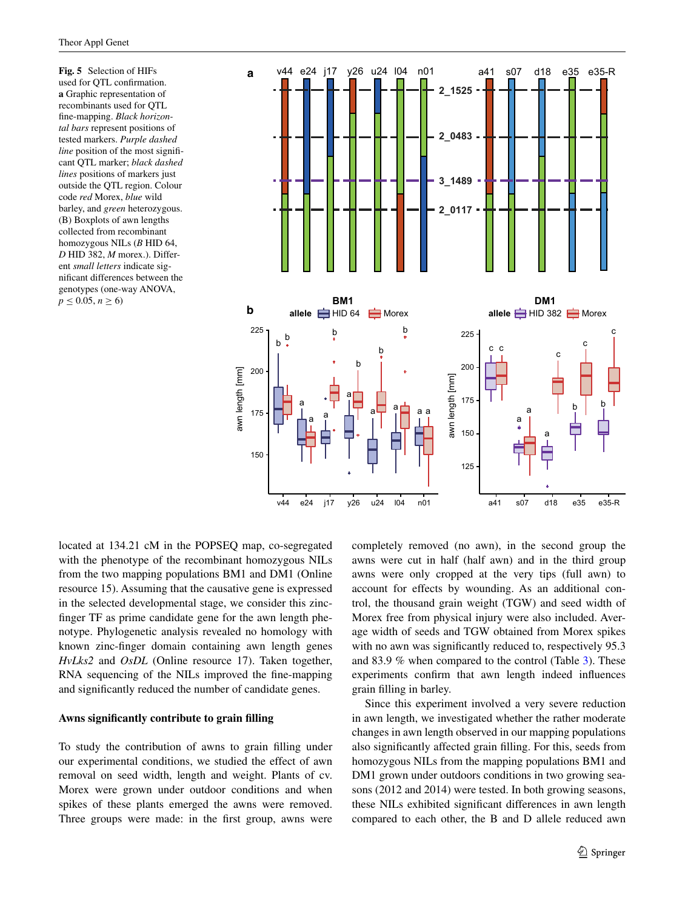<span id="page-8-0"></span>**Fig. 5** Selection of HIFs used for QTL confirmation. **a** Graphic representation of recombinants used for QTL fine-mapping. *Black horizontal bars* represent positions of tested markers. *Purple dashed line* position of the most significant QTL marker; *black dashed lines* positions of markers just outside the QTL region. Colour code *red* Morex, *blue* wild barley, and *green* heterozygous. (B) Boxplots of awn lengths collected from recombinant homozygous NILs (*B* HID 64, *D* HID 382, *M* morex.). Different *small letters* indicate significant differences between the genotypes (one-way ANOVA,  $p \le 0.05, n \ge 6$ 



located at 134.21 cM in the POPSEQ map, co-segregated with the phenotype of the recombinant homozygous NILs from the two mapping populations BM1 and DM1 (Online resource 15). Assuming that the causative gene is expressed in the selected developmental stage, we consider this zincfinger TF as prime candidate gene for the awn length phenotype. Phylogenetic analysis revealed no homology with known zinc-finger domain containing awn length genes *HvLks2* and *OsDL* (Online resource 17). Taken together, RNA sequencing of the NILs improved the fine-mapping and significantly reduced the number of candidate genes.

## **Awns significantly contribute to grain filling**

To study the contribution of awns to grain filling under our experimental conditions, we studied the effect of awn removal on seed width, length and weight. Plants of cv. Morex were grown under outdoor conditions and when spikes of these plants emerged the awns were removed. Three groups were made: in the first group, awns were completely removed (no awn), in the second group the awns were cut in half (half awn) and in the third group awns were only cropped at the very tips (full awn) to account for effects by wounding. As an additional control, the thousand grain weight (TGW) and seed width of Morex free from physical injury were also included. Average width of seeds and TGW obtained from Morex spikes with no awn was significantly reduced to, respectively 95.3 and 83.9 % when compared to the control (Table [3\)](#page-9-1). These experiments confirm that awn length indeed influences grain filling in barley.

Since this experiment involved a very severe reduction in awn length, we investigated whether the rather moderate changes in awn length observed in our mapping populations also significantly affected grain filling. For this, seeds from homozygous NILs from the mapping populations BM1 and DM1 grown under outdoors conditions in two growing seasons (2012 and 2014) were tested. In both growing seasons, these NILs exhibited significant differences in awn length compared to each other, the B and D allele reduced awn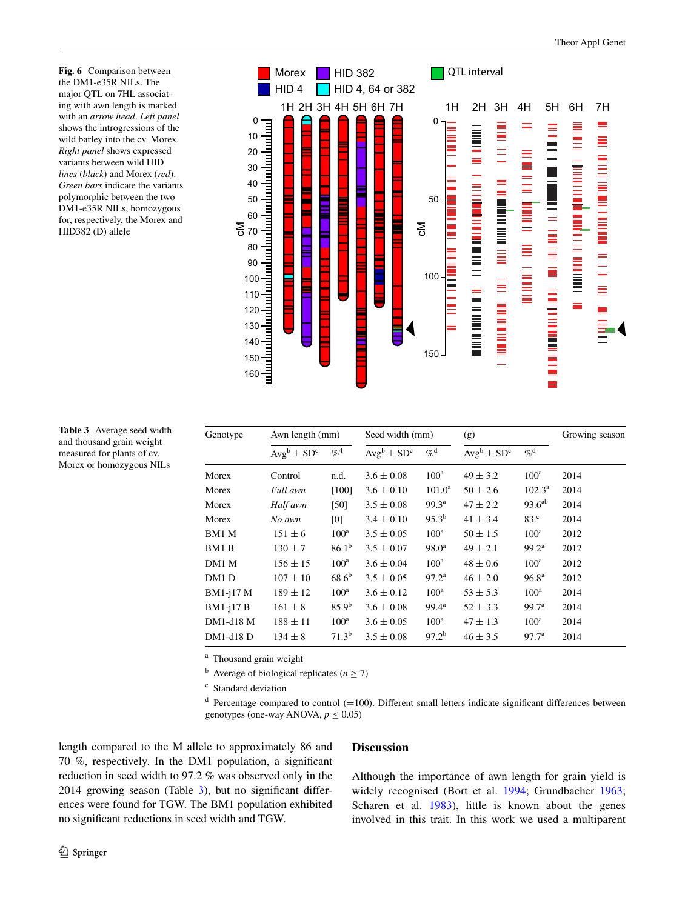<span id="page-9-0"></span>**Fig. 6** Comparison between the DM1-e35R NILs. The major QTL on 7HL associating with awn length is marked with an *arrow head*. *Left panel* shows the introgressions of the wild barley into the cv. Morex. *Right panel* shows expressed variants between wild HID *lines* (*black*) and Morex (*red*). *Green bars* indicate the variants polymorphic between the two DM1-e35R NILs, homozygous for, respectively, the Morex and HID382 (D) allele



<span id="page-9-1"></span>

| <b>Table 3</b> Average seed width |  |
|-----------------------------------|--|
| and thousand grain weight         |  |
| measured for plants of cv.        |  |
| Morex or homozygous NILs          |  |

| Genotype  | Awn length (mm)  |                   | Seed width (mm)  |                   | (g)              |                   | Growing season |  |
|-----------|------------------|-------------------|------------------|-------------------|------------------|-------------------|----------------|--|
|           | $Avg^b \pm SD^c$ | $\%^4$            | $Avg^b \pm SD^c$ | $\%^{\rm d}$      | $Avg^b \pm SD^c$ | $\%^{\rm d}$      |                |  |
| Morex     | Control          | n.d.              | $3.6 \pm 0.08$   | $100^a$           | $49 \pm 3.2$     | 100 <sup>a</sup>  | 2014           |  |
| Morex     | Full awn         | $[100]$           | $3.6 \pm 0.10$   | $101.0^{\rm a}$   | $50 \pm 2.6$     | $102.3^{\rm a}$   | 2014           |  |
| Morex     | Half awn         | [50]              | $3.5 \pm 0.08$   | 99.3 <sup>a</sup> | $47 \pm 2.2$     | $93.6^{ab}$       | 2014           |  |
| Morex     | No awn           | [0]               | $3.4 \pm 0.10$   | $95.3^{b}$        | $41 \pm 3.4$     | 83 <sup>c</sup>   | 2014           |  |
| BM1 M     | $151 \pm 6$      | $100^{\rm a}$     | $3.5 \pm 0.05$   | $100^{\rm a}$     | $50 \pm 1.5$     | 100 <sup>a</sup>  | 2012           |  |
| BM1 B     | $130 \pm 7$      | $86.1^{b}$        | $3.5 \pm 0.07$   | $98.0^{\rm a}$    | $49 \pm 2.1$     | 99.2 <sup>a</sup> | 2012           |  |
| DM1 M     | $156 \pm 15$     | $100^{\rm a}$     | $3.6 \pm 0.04$   | $100^{\rm a}$     | $48 \pm 0.6$     | 100 <sup>a</sup>  | 2012           |  |
| DM1 D     | $107 \pm 10$     | $68.6^{b}$        | $3.5 \pm 0.05$   | 97.2 <sup>a</sup> | $46 \pm 2.0$     | 96.8 <sup>a</sup> | 2012           |  |
| BM1-j17 M | $189 \pm 12$     | $100^{\rm a}$     | $3.6 \pm 0.12$   | $100^{\rm a}$     | $53 \pm 5.3$     | $100^a$           | 2014           |  |
| BM1-j17 B | $161 \pm 8$      | $85.9^{b}$        | $3.6 \pm 0.08$   | $99.4^{\rm a}$    | $52 \pm 3.3$     | 99.7 <sup>a</sup> | 2014           |  |
| DM1-d18 M | $188 \pm 11$     | $100^{\rm a}$     | $3.6 \pm 0.05$   | $100^{\rm a}$     | $47 \pm 1.3$     | $100^a$           | 2014           |  |
| DM1-d18 D | $134 \pm 8$      | 71.3 <sup>b</sup> | $3.5 \pm 0.08$   | $97.2^{b}$        | $46 \pm 3.5$     | 97.7 <sup>a</sup> | 2014           |  |

<sup>a</sup> Thousand grain weight

<sup>b</sup> Average of biological replicates ( $n \ge 7$ )

<sup>c</sup> Standard deviation

 $d$  Percentage compared to control (=100). Different small letters indicate significant differences between genotypes (one-way ANOVA,  $p \leq 0.05$ )

length compared to the M allele to approximately 86 and 70 %, respectively. In the DM1 population, a significant reduction in seed width to 97.2 % was observed only in the 2014 growing season (Table [3\)](#page-9-1), but no significant differences were found for TGW. The BM1 population exhibited no significant reductions in seed width and TGW.

# **Discussion**

Although the importance of awn length for grain yield is widely recognised (Bort et al. [1994](#page-11-3); Grundbacher [1963](#page-12-0); Scharen et al. [1983](#page-12-4)), little is known about the genes involved in this trait. In this work we used a multiparent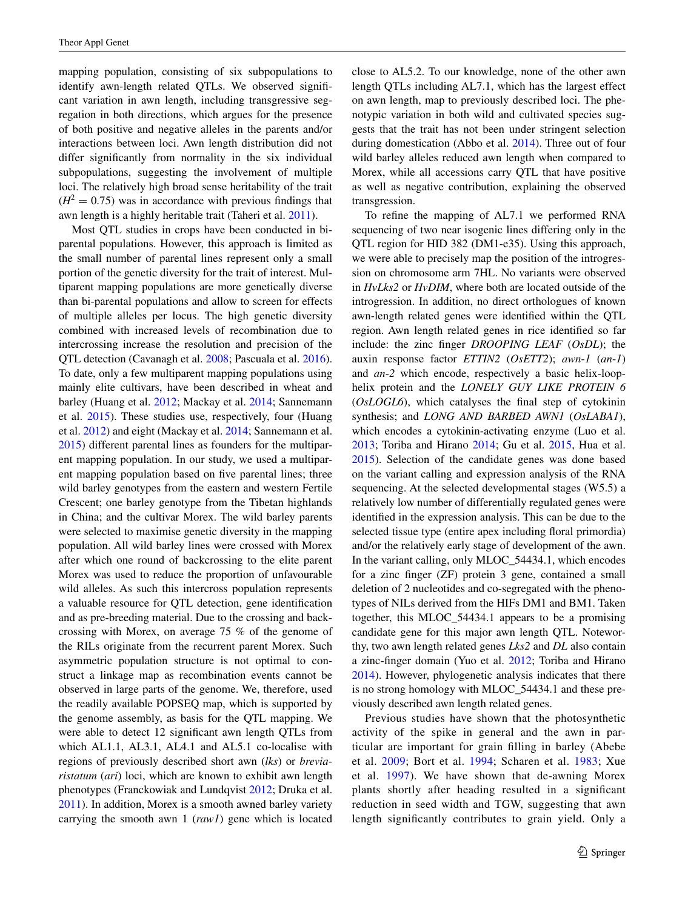mapping population, consisting of six subpopulations to identify awn-length related QTLs. We observed significant variation in awn length, including transgressive segregation in both directions, which argues for the presence of both positive and negative alleles in the parents and/or interactions between loci. Awn length distribution did not differ significantly from normality in the six individual subpopulations, suggesting the involvement of multiple loci. The relatively high broad sense heritability of the trait  $(H<sup>2</sup> = 0.75)$  was in accordance with previous findings that awn length is a highly heritable trait (Taheri et al. [2011\)](#page-12-25).

Most QTL studies in crops have been conducted in biparental populations. However, this approach is limited as the small number of parental lines represent only a small portion of the genetic diversity for the trait of interest. Multiparent mapping populations are more genetically diverse than bi-parental populations and allow to screen for effects of multiple alleles per locus. The high genetic diversity combined with increased levels of recombination due to intercrossing increase the resolution and precision of the QTL detection (Cavanagh et al. [2008](#page-11-8); Pascuala et al. [2016](#page-12-26)). To date, only a few multiparent mapping populations using mainly elite cultivars, have been described in wheat and barley (Huang et al. [2012;](#page-12-27) Mackay et al. [2014;](#page-12-28) Sannemann et al. [2015\)](#page-12-29). These studies use, respectively, four (Huang et al. [2012](#page-12-27)) and eight (Mackay et al. [2014](#page-12-28); Sannemann et al. [2015\)](#page-12-29) different parental lines as founders for the multiparent mapping population. In our study, we used a multiparent mapping population based on five parental lines; three wild barley genotypes from the eastern and western Fertile Crescent; one barley genotype from the Tibetan highlands in China; and the cultivar Morex. The wild barley parents were selected to maximise genetic diversity in the mapping population. All wild barley lines were crossed with Morex after which one round of backcrossing to the elite parent Morex was used to reduce the proportion of unfavourable wild alleles. As such this intercross population represents a valuable resource for QTL detection, gene identification and as pre-breeding material. Due to the crossing and backcrossing with Morex, on average 75 % of the genome of the RILs originate from the recurrent parent Morex. Such asymmetric population structure is not optimal to construct a linkage map as recombination events cannot be observed in large parts of the genome. We, therefore, used the readily available POPSEQ map, which is supported by the genome assembly, as basis for the QTL mapping. We were able to detect 12 significant awn length QTLs from which AL1.1, AL3.1, AL4.1 and AL5.1 co-localise with regions of previously described short awn (*lks*) or *breviaristatum* (*ari*) loci, which are known to exhibit awn length phenotypes (Franckowiak and Lundqvist [2012;](#page-11-1) Druka et al. [2011\)](#page-11-6). In addition, Morex is a smooth awned barley variety carrying the smooth awn 1 (*raw1*) gene which is located close to AL5.2. To our knowledge, none of the other awn length QTLs including AL7.1, which has the largest effect on awn length, map to previously described loci. The phenotypic variation in both wild and cultivated species suggests that the trait has not been under stringent selection during domestication (Abbo et al. [2014\)](#page-11-12). Three out of four wild barley alleles reduced awn length when compared to Morex, while all accessions carry QTL that have positive as well as negative contribution, explaining the observed transgression.

To refine the mapping of AL7.1 we performed RNA sequencing of two near isogenic lines differing only in the QTL region for HID 382 (DM1-e35). Using this approach, we were able to precisely map the position of the introgression on chromosome arm 7HL. No variants were observed in *HvLks2* or *HvDIM*, where both are located outside of the introgression. In addition, no direct orthologues of known awn-length related genes were identified within the QTL region. Awn length related genes in rice identified so far include: the zinc finger *DROOPING LEAF* (*OsDL*); the auxin response factor *ETTIN2* (*OsETT2*); *awn*-*1* (*an*-*1*) and *an*-*2* which encode, respectively a basic helix-loophelix protein and the *LONELY GUY LIKE PROTEIN 6* (*OsLOGL6*), which catalyses the final step of cytokinin synthesis; and *LONG AND BARBED AWN1* (*OsLABA1*), which encodes a cytokinin-activating enzyme (Luo et al. [2013](#page-12-30); Toriba and Hirano [2014](#page-12-31); Gu et al. [2015](#page-12-32), Hua et al. [2015](#page-12-33)). Selection of the candidate genes was done based on the variant calling and expression analysis of the RNA sequencing. At the selected developmental stages (W5.5) a relatively low number of differentially regulated genes were identified in the expression analysis. This can be due to the selected tissue type (entire apex including floral primordia) and/or the relatively early stage of development of the awn. In the variant calling, only MLOC\_54434.1, which encodes for a zinc finger (ZF) protein 3 gene, contained a small deletion of 2 nucleotides and co-segregated with the phenotypes of NILs derived from the HIFs DM1 and BM1. Taken together, this MLOC\_54434.1 appears to be a promising candidate gene for this major awn length QTL. Noteworthy, two awn length related genes *Lks2* and *DL* also contain a zinc-finger domain (Yuo et al. [2012](#page-12-3); Toriba and Hirano [2014](#page-12-31)). However, phylogenetic analysis indicates that there is no strong homology with MLOC\_54434.1 and these previously described awn length related genes.

Previous studies have shown that the photosynthetic activity of the spike in general and the awn in particular are important for grain filling in barley (Abebe et al. [2009;](#page-11-4) Bort et al. [1994;](#page-11-3) Scharen et al. [1983](#page-12-4); Xue et al. [1997\)](#page-12-34). We have shown that de-awning Morex plants shortly after heading resulted in a significant reduction in seed width and TGW, suggesting that awn length significantly contributes to grain yield. Only a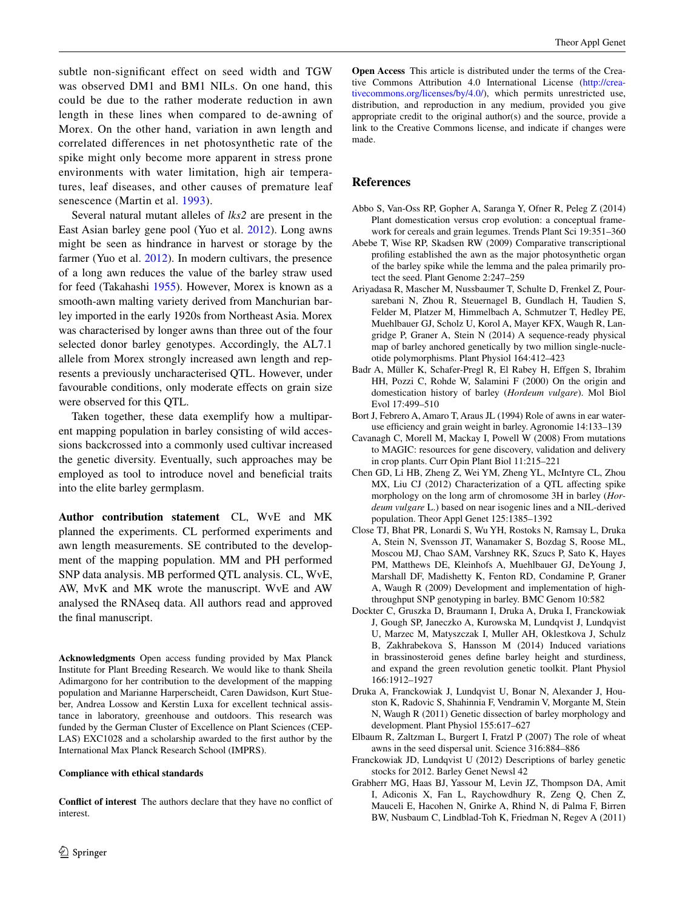subtle non-significant effect on seed width and TGW was observed DM1 and BM1 NILs. On one hand, this could be due to the rather moderate reduction in awn length in these lines when compared to de-awning of Morex. On the other hand, variation in awn length and correlated differences in net photosynthetic rate of the spike might only become more apparent in stress prone environments with water limitation, high air temperatures, leaf diseases, and other causes of premature leaf senescence (Martin et al. [1993\)](#page-12-35).

Several natural mutant alleles of *lks2* are present in the East Asian barley gene pool (Yuo et al. [2012](#page-12-3)). Long awns might be seen as hindrance in harvest or storage by the farmer (Yuo et al. [2012\)](#page-12-3). In modern cultivars, the presence of a long awn reduces the value of the barley straw used for feed (Takahashi [1955](#page-12-36)). However, Morex is known as a smooth-awn malting variety derived from Manchurian barley imported in the early 1920s from Northeast Asia. Morex was characterised by longer awns than three out of the four selected donor barley genotypes. Accordingly, the AL7.1 allele from Morex strongly increased awn length and represents a previously uncharacterised QTL. However, under favourable conditions, only moderate effects on grain size were observed for this QTL.

Taken together, these data exemplify how a multiparent mapping population in barley consisting of wild accessions backcrossed into a commonly used cultivar increased the genetic diversity. Eventually, such approaches may be employed as tool to introduce novel and beneficial traits into the elite barley germplasm.

**Author contribution statement** CL, WvE and MK planned the experiments. CL performed experiments and awn length measurements. SE contributed to the development of the mapping population. MM and PH performed SNP data analysis. MB performed QTL analysis. CL, WvE, AW, MvK and MK wrote the manuscript. WvE and AW analysed the RNAseq data. All authors read and approved the final manuscript.

**Acknowledgments** Open access funding provided by Max Planck Institute for Plant Breeding Research. We would like to thank Sheila Adimargono for her contribution to the development of the mapping population and Marianne Harperscheidt, Caren Dawidson, Kurt Stueber, Andrea Lossow and Kerstin Luxa for excellent technical assistance in laboratory, greenhouse and outdoors. This research was funded by the German Cluster of Excellence on Plant Sciences (CEP-LAS) EXC1028 and a scholarship awarded to the first author by the International Max Planck Research School (IMPRS).

#### **Compliance with ethical standards**

**Conflict of interest** The authors declare that they have no conflict of interest.

**Open Access** This article is distributed under the terms of the Creative Commons Attribution 4.0 International License ([http://crea](http://creativecommons.org/licenses/by/4.0/)[tivecommons.org/licenses/by/4.0/](http://creativecommons.org/licenses/by/4.0/)), which permits unrestricted use, distribution, and reproduction in any medium, provided you give appropriate credit to the original author(s) and the source, provide a link to the Creative Commons license, and indicate if changes were made.

# **References**

- <span id="page-11-12"></span>Abbo S, Van-Oss RP, Gopher A, Saranga Y, Ofner R, Peleg Z (2014) Plant domestication versus crop evolution: a conceptual framework for cereals and grain legumes. Trends Plant Sci 19:351–360
- <span id="page-11-4"></span>Abebe T, Wise RP, Skadsen RW (2009) Comparative transcriptional profiling established the awn as the major photosynthetic organ of the barley spike while the lemma and the palea primarily protect the seed. Plant Genome 2:247–259
- <span id="page-11-10"></span>Ariyadasa R, Mascher M, Nussbaumer T, Schulte D, Frenkel Z, Poursarebani N, Zhou R, Steuernagel B, Gundlach H, Taudien S, Felder M, Platzer M, Himmelbach A, Schmutzer T, Hedley PE, Muehlbauer GJ, Scholz U, Korol A, Mayer KFX, Waugh R, Langridge P, Graner A, Stein N (2014) A sequence-ready physical map of barley anchored genetically by two million single-nucleotide polymorphisms. Plant Physiol 164:412–423
- <span id="page-11-7"></span>Badr A, Müller K, Schafer-Pregl R, El Rabey H, Effgen S, Ibrahim HH, Pozzi C, Rohde W, Salamini F (2000) On the origin and domestication history of barley (*Hordeum vulgare*). Mol Biol Evol 17:499–510
- <span id="page-11-3"></span>Bort J, Febrero A, Amaro T, Araus JL (1994) Role of awns in ear wateruse efficiency and grain weight in barley. Agronomie 14:133–139
- <span id="page-11-8"></span>Cavanagh C, Morell M, Mackay I, Powell W (2008) From mutations to MAGIC: resources for gene discovery, validation and delivery in crop plants. Curr Opin Plant Biol 11:215–221
- <span id="page-11-5"></span>Chen GD, Li HB, Zheng Z, Wei YM, Zheng YL, McIntyre CL, Zhou MX, Liu CJ (2012) Characterization of a QTL affecting spike morphology on the long arm of chromosome 3H in barley (*Hordeum vulgare* L.) based on near isogenic lines and a NIL-derived population. Theor Appl Genet 125:1385–1392
- <span id="page-11-9"></span>Close TJ, Bhat PR, Lonardi S, Wu YH, Rostoks N, Ramsay L, Druka A, Stein N, Svensson JT, Wanamaker S, Bozdag S, Roose ML, Moscou MJ, Chao SAM, Varshney RK, Szucs P, Sato K, Hayes PM, Matthews DE, Kleinhofs A, Muehlbauer GJ, DeYoung J, Marshall DF, Madishetty K, Fenton RD, Condamine P, Graner A, Waugh R (2009) Development and implementation of highthroughput SNP genotyping in barley. BMC Genom 10:582
- <span id="page-11-2"></span>Dockter C, Gruszka D, Braumann I, Druka A, Druka I, Franckowiak J, Gough SP, Janeczko A, Kurowska M, Lundqvist J, Lundqvist U, Marzec M, Matyszczak I, Muller AH, Oklestkova J, Schulz B, Zakhrabekova S, Hansson M (2014) Induced variations in brassinosteroid genes define barley height and sturdiness, and expand the green revolution genetic toolkit. Plant Physiol 166:1912–1927
- <span id="page-11-6"></span>Druka A, Franckowiak J, Lundqvist U, Bonar N, Alexander J, Houston K, Radovic S, Shahinnia F, Vendramin V, Morgante M, Stein N, Waugh R (2011) Genetic dissection of barley morphology and development. Plant Physiol 155:617–627
- <span id="page-11-0"></span>Elbaum R, Zaltzman L, Burgert I, Fratzl P (2007) The role of wheat awns in the seed dispersal unit. Science 316:884–886
- <span id="page-11-1"></span>Franckowiak JD, Lundqvist U (2012) Descriptions of barley genetic stocks for 2012. Barley Genet Newsl 42
- <span id="page-11-11"></span>Grabherr MG, Haas BJ, Yassour M, Levin JZ, Thompson DA, Amit I, Adiconis X, Fan L, Raychowdhury R, Zeng Q, Chen Z, Mauceli E, Hacohen N, Gnirke A, Rhind N, di Palma F, Birren BW, Nusbaum C, Lindblad-Toh K, Friedman N, Regev A (2011)